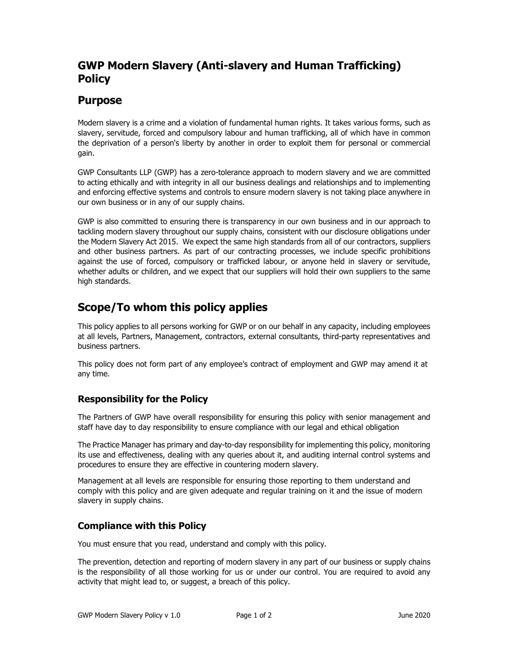# GWP Modern Slavery (Anti-slavery and Human Trafficking) **Policy**

## Purpose

Modern slavery is a crime and a violation of fundamental human rights. It takes various forms, such as slavery, servitude, forced and compulsory labour and human trafficking, all of which have in common the deprivation of a person's liberty by another in order to exploit them for personal or commercial gain.

GWP Consultants LLP (GWP) has a zero-tolerance approach to modern slavery and we are committed to acting ethically and with integrity in all our business dealings and relationships and to implementing and enforcing effective systems and controls to ensure modern slavery is not taking place anywhere in our own business or in any of our supply chains.

GWP is also committed to ensuring there is transparency in our own business and in our approach to tackling modern slavery throughout our supply chains, consistent with our disclosure obligations under the Modern Slavery Act 2015. We expect the same high standards from all of our contractors, suppliers and other business partners. As part of our contracting processes, we include specific prohibitions against the use of forced, compulsory or trafficked labour, or anyone held in slavery or servitude, whether adults or children, and we expect that our suppliers will hold their own suppliers to the same high standards.

# Scope/To whom this policy applies

This policy applies to all persons working for GWP or on our behalf in any capacity, including employees at all levels, Partners, Management, contractors, external consultants, third-party representatives and business partners.

This policy does not form part of any employee's contract of employment and GWP may amend it at any time.

### Responsibility for the Policy

The Partners of GWP have overall responsibility for ensuring this policy with senior management and staff have day to day responsibility to ensure compliance with our legal and ethical obligation

The Practice Manager has primary and day-to-day responsibility for implementing this policy, monitoring its use and effectiveness, dealing with any queries about it, and auditing internal control systems and procedures to ensure they are effective in countering modern slavery.

Management at all levels are responsible for ensuring those reporting to them understand and comply with this policy and are given adequate and regular training on it and the issue of modern slavery in supply chains.

### Compliance with this Policy

You must ensure that you read, understand and comply with this policy.

The prevention, detection and reporting of modern slavery in any part of our business or supply chains is the responsibility of all those working for us or under our control. You are required to avoid any activity that might lead to, or suggest, a breach of this policy.